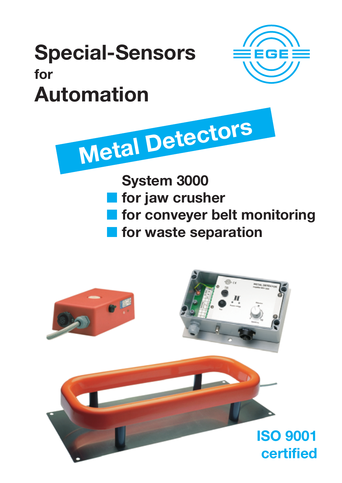# Special-Sensors for Automation



System 3000

Metal Detectors

**for jaw crusher** 

- **for conveyer belt monitoring**
- **for waste separation**

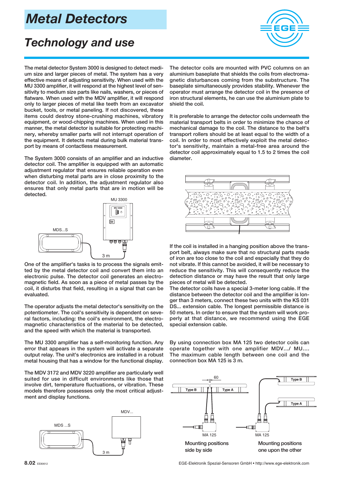## Metal Detectors

## Technology and use

The metal detector System 3000 is designed to detect medium size and larger pieces of metal. The system has a very effective means of adjusting sensitivity. When used with the MU 3300 amplifier, it will respond at the highest level of sensitivity to medium size parts like nails, washers, or pieces of flatware. When used with the MDV amplifier, it will respond only to larger pieces of metal like teeth from an excavator bucket, tools, or metal paneling. If not discovered, these items could destroy stone-crushing machines, vibratory equipment, or wood-chipping machines. When used in this manner, the metal detector is suitable for protecting machinery, whereby smaller parts will not interrupt operation of the equipment. It detects metal during bulk material transport by means of contactless measurement.

The System 3000 consists of an amplifier and an inductive detector coil. The amplifier is equipped with an automatic adjustment regulator that ensures reliable operation even when disturbing metal parts are in close proximity to the detector coil. In addition, the adjustment regulator also ensures that only metal parts that are in motion will be detected.



One of the amplifier's tasks is to process the signals emitted by the metal detector coil and convert them into an electronic pulse. The detector coil generates an electromagnetic field. As soon as a piece of metal passes by the coil, it disturbs that field, resulting in a signal that can be evaluated.

The operator adjusts the metal detector's sensitivity on the potentiometer. The coil's sensitivity is dependent on several factors, including: the coil's environment, the electromagnetic characteristics of the material to be detected, and the speed with which the material is transported.

The MU 3300 amplifier has a self-monitoring function. Any error that appears in the system will activate a separate output relay. The unit's electronics are installed in a robust metal housing that has a window for the functional display.

The MDV 3172 and MDV 3220 amplifier are particularly well suited for use in difficult environments like those that involve dirt, temperature fluctuations, or vibration. These models therefore possesses only the most critical adjustment and display functions.





The detector coils are mounted with PVC columns on an aluminium baseplate that shields the coils from electromagnetic disturbances coming from the substructure. The baseplate simultaneously provides stability. Whenever the operator must arrange the detector coil in the presence of iron structural elements, he can use the aluminium plate to shield the coil.

It is preferable to arrange the detector coils underneath the material transport belts in order to minimize the chance of mechanical damage to the coil. The distance to the belt's transport rollers should be at least equal to the width of a coil. In order to most effectively exploit the metal detector's sensitivity, maintain a metal-free area around the detector coil approximately equal to 1.5 to 2 times the coil diameter.



If the coil is installed in a hanging position above the transport belt, always make sure that no structural parts made of iron are too close to the coil and especially that they do not vibrate. If this cannot be avoided, it will be necessary to reduce the sensitivity. This will consequently reduce the detection distance or may have the result that only large pieces of metal will be detected.

The detector coils have a special 3-meter long cable. If the distance between the detector coil and the amplifier is longer than 3 meters, connect these two units with the KS 031 DS... extension cable. The longest permissible distance is 50 meters. In order to ensure that the system will work properly at that distance, we recommend using the EGE special extension cable.

By using connection box MA 125 two detector coils can operate together with one amplifier MDV.../ MU.... The maximum cable length between one coil and the connection box MA 125 is 3 m.



8.02 EE80612 EGE-Elektronik Spezial-Sensoren GmbH • http://www.ege-elektronik.com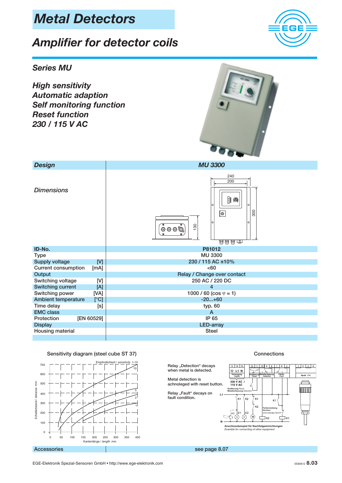## Metal Detectors

## Amplifier for detector coils

#### Series MU

High sensitivity Automatic adaption Self monitoring function Reset function 230 / 115 V AC



| <b>Design</b>                      | <b>MU 3300</b>                                                     |  |  |
|------------------------------------|--------------------------------------------------------------------|--|--|
| <b>Dimensions</b>                  | 240<br>200<br>$\parallel$ @<br>lo<br>O<br>300<br>∣⊚<br>130<br>0000 |  |  |
| ID-No.                             | P81012                                                             |  |  |
| <b>Type</b>                        | <b>MU 3300</b>                                                     |  |  |
| [V]<br><b>Supply voltage</b>       | 230 / 115 AC ±10%                                                  |  |  |
| <b>Current consumption</b><br>[mA] | <60                                                                |  |  |
| Output                             | Relay / Change over contact                                        |  |  |
| Switching voltage<br>[V]           | 250 AC / 220 DC                                                    |  |  |
| <b>Switching current</b><br>[A]    | $\overline{4}$                                                     |  |  |
| Switching power<br>[VA]            | 1000 / 60 ( $\cos \varphi = 1$ )                                   |  |  |
| <b>Ambient temperature</b><br>[°C] | $-20+60$                                                           |  |  |
| Time delay<br>[s]                  | typ. 60                                                            |  |  |
| <b>EMC</b> class                   | $\mathsf{A}$                                                       |  |  |
| [EN 60529]<br>Protection           | IP 65                                                              |  |  |
| <b>Display</b>                     | <b>LED-array</b>                                                   |  |  |
| Housing material                   | <b>Steel</b>                                                       |  |  |
|                                    |                                                                    |  |  |







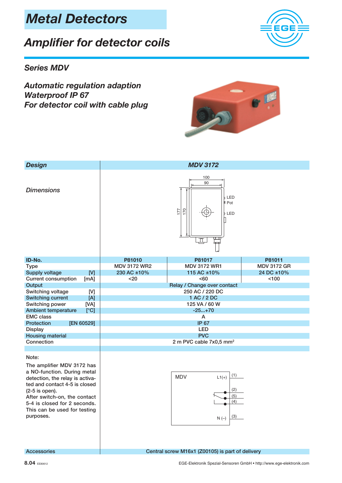## Amplifier for detector coils



#### Series MDV

Automatic regulation adaption Waterproof IP 67 For detector coil with cable plug



| <b>Design</b>                                                                                                                                                                                                                                                         | <b>MDV 3172</b>                                                              |                             |                    |
|-----------------------------------------------------------------------------------------------------------------------------------------------------------------------------------------------------------------------------------------------------------------------|------------------------------------------------------------------------------|-----------------------------|--------------------|
| <b>Dimensions</b>                                                                                                                                                                                                                                                     | 100<br>90<br>b LED<br>$P_{\text{ot}}$<br>$\overline{0}$<br>177<br>b LED<br>⋣ |                             |                    |
| ID-No.                                                                                                                                                                                                                                                                | P81010                                                                       | P81017                      | P81011             |
| <b>Type</b>                                                                                                                                                                                                                                                           | <b>MDV 3172 WR2</b>                                                          | <b>MDV 3172 WR1</b>         | <b>MDV 3172 GR</b> |
| <b>Supply voltage</b><br>[V]                                                                                                                                                                                                                                          | 230 AC ±10%                                                                  | 115 AC ±10%                 | 24 DC ±10%         |
| <b>Current consumption</b><br>[mA]                                                                                                                                                                                                                                    | $20$                                                                         | <60                         | < 100              |
| Output                                                                                                                                                                                                                                                                |                                                                              | Relay / Change over contact |                    |
| Switching voltage<br>[V]                                                                                                                                                                                                                                              |                                                                              | 250 AC / 220 DC             |                    |
| <b>Switching current</b><br>[A]                                                                                                                                                                                                                                       |                                                                              | 1 AC / 2 DC                 |                    |
| [VA]<br>Switching power                                                                                                                                                                                                                                               | 125 VA / 60 W                                                                |                             |                    |
| <b>Ambient temperature</b><br>[°C]                                                                                                                                                                                                                                    | $-25+70$                                                                     |                             |                    |
| <b>EMC</b> class                                                                                                                                                                                                                                                      | A                                                                            |                             |                    |
| Protection<br>[EN 60529]                                                                                                                                                                                                                                              | <b>IP 67</b>                                                                 |                             |                    |
| <b>Display</b>                                                                                                                                                                                                                                                        | <b>LED</b>                                                                   |                             |                    |
| <b>Housing material</b>                                                                                                                                                                                                                                               | <b>PVC</b>                                                                   |                             |                    |
| Connection                                                                                                                                                                                                                                                            | 2 m PVC cable 7x0,5 mm <sup>2</sup>                                          |                             |                    |
|                                                                                                                                                                                                                                                                       |                                                                              |                             |                    |
| Note:<br>The amplifier MDV 3172 has<br>a NO-function. During metal<br>detection, the relay is activa-<br>ted and contact 4-5 is closed<br>(2-5 is open).<br>After switch-on, the contact<br>5-4 is closed for 2 seconds.<br>This can be used for testing<br>purposes. | (1)<br><b>MDV</b><br>$L1(+)$<br>(2)<br>(5)<br>(4)<br>(3)<br>$N(-)$           |                             |                    |

Accessories **Central screw M16x1 (Z00105)** is part of delivery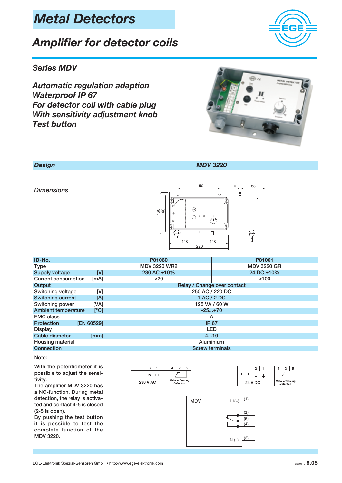## Amplifier for detector coils

#### Series MDV

Automatic regulation adaption Waterproof IP 67 For detector coil with cable plug With sensitivity adjustment knob Test button



it is possible to test the complete function of the

MDV 3220.



(5)  $(4)$ 

(3)

 $N(-)$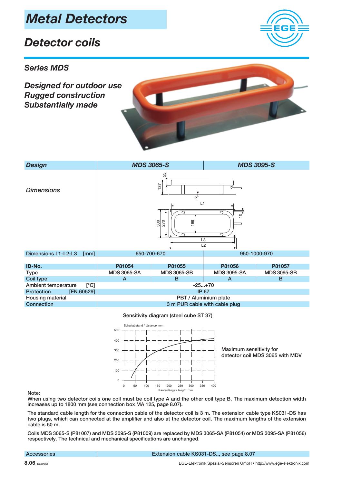## Metal Detectors

### Detector coils

#### Series MDS

Designed for outdoor use Rugged construction Substantially made





Sensitivity diagram (steel cube ST 37)



Note:

When using two detector coils one coil must be coil type A and the other coil type B. The maximum detection width increases up to 1800 mm (see connection box MA 125, page 8.07).

The standard cable length for the connection cable of the detector coil is 3 m. The extension cable type KS031-DS has two plugs, which can connected at the amplifier and also at the detector coil. The maximum lengths of the extension cable is 50 m.

Coils MDS 3065-S (P81007) and MDS 3095-S (P81009) are replaced by MDS 3065-SA (P81054) or MDS 3095-SA (P81056) respectively. The technical and mechanical specifications are unchanged.

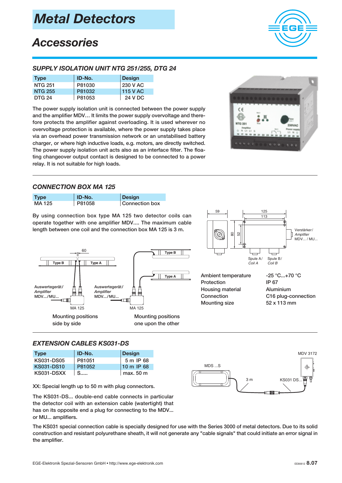

## **Accessories**

#### SUPPLY ISOLATION UNIT NTG 251/255, DTG 24

| <b>Type</b>    | ID-No. | Design          |
|----------------|--------|-----------------|
| <b>NTG 251</b> | P81030 | 230 V AC        |
| <b>NTG 255</b> | P81032 | <b>115 V AC</b> |
| <b>DTG 24</b>  | P81053 | 24 V DC         |

The power supply isolation unit is connected between the power supply and the amplifier MDV… It limits the power supply overvoltage and therefore protects the amplifier against overloading. It is used wherever no overvoltage protection is available, where the power supply takes place via an overhead power transmission network or an unstabilised battery charger, or where high inductive loads, e.g. motors, are directly switched. The power supply isolation unit acts also as an interface filter. The floating changeover output contact is designed to be connected to a power relay. It is not suitable for high loads.



#### CONNECTION BOX MA 125

| <b>Type</b> | ID-No. | Design         |
|-------------|--------|----------------|
| MA 125      | P81058 | Connection box |

By using connection box type MA 125 two detector coils can operate together with one amplifier MDV.... The maximum cable length between one coil and the connection box MA 125 is 3 m.





Housing material Aluminium Mounting size 52 x 113 mm

Connection C16 plug-connection

#### EXTENSION CABLES KS031-DS

| <b>Type</b>       | ID-No. | <b>Design</b>        |
|-------------------|--------|----------------------|
| KS031-DS05        | P81051 | 5 m IP 68            |
| <b>KS031-DS10</b> | P81052 | $10 \text{ m}$ IP 68 |
| KS031-DSXX        | S      | max. 50 m            |

XX: Special length up to 50 m with plug connectors.

The KS031-DS... double-end cable connects in particular the detector coil with an extension cable (watertight) that has on its opposite end a plug for connecting to the MDV... or MU... amplifiers.

MDV 3172 MDS ...S 3 m KS031 DS...  $\Box$ 

The KS031 special connection cable is specially designed for use with the Series 3000 of metal detectors. Due to its solid construction and resistant polyurethane sheath, it will not generate any "cable signals" that could initiate an error signal in the amplifier.